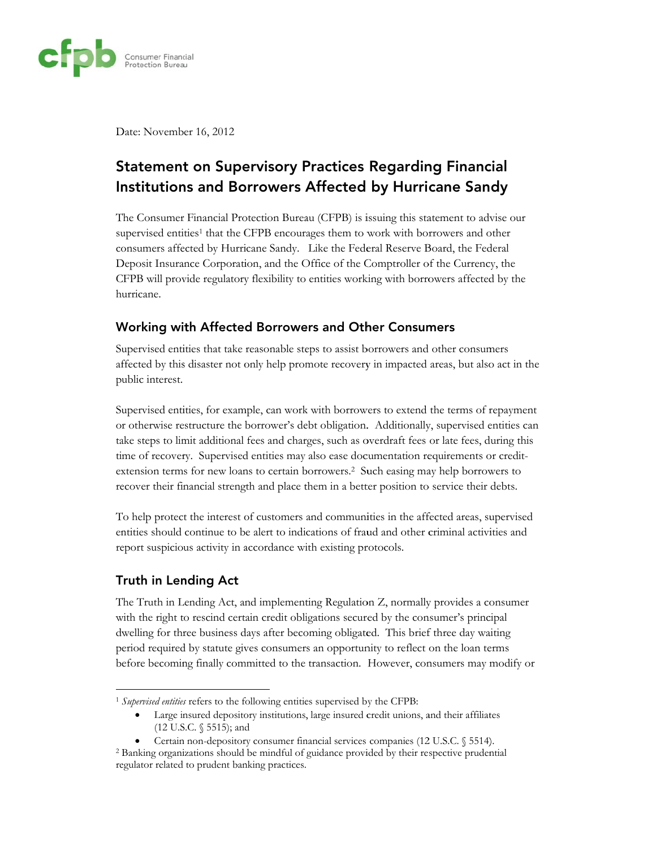

Date: November 16, 2012

## **Statement on Supervisory Practices Regarding Financial** Institutions and Borrowers Affected by Hurricane Sandy

The Consumer Financial Protection Bureau (CFPB) is issuing this statement to advise our supervised entities<sup>1</sup> that the CFPB encourages them to work with borrowers and other consumers affected by Hurricane Sandy. Like the Federal Reserve Board, the Federal Deposit Insurance Corporation, and the Office of the Comptroller of the Currency, the CFPB will provide regulatory flexibility to entities working with borrowers affected by the hurricane.

## Working with Affected Borrowers and Other Consumers

Supervised entities that take reasonable steps to assist borrowers and other consumers affected by this disaster not only help promote recovery in impacted areas, but also act in the public interest.

Supervised entities, for example, can work with borrowers to extend the terms of repayment or otherwise restructure the borrower's debt obligation. Additionally, supervised entities can take steps to limit additional fees and charges, such as overdraft fees or late fees, during this time of recovery. Supervised entities may also ease documentation requirements or creditextension terms for new loans to certain borrowers.<sup>2</sup> Such easing may help borrowers to recover their financial strength and place them in a better position to service their debts.

To help protect the interest of customers and communities in the affected areas, supervised entities should continue to be alert to indications of fraud and other criminal activities and report suspicious activity in accordance with existing protocols.

## **Truth in Lending Act**

The Truth in Lending Act, and implementing Regulation Z, normally provides a consumer with the right to rescind certain credit obligations secured by the consumer's principal dwelling for three business days after becoming obligated. This brief three day waiting period required by statute gives consumers an opportunity to reflect on the loan terms before becoming finally committed to the transaction. However, consumers may modify or

<sup>&</sup>lt;sup>1</sup> Supervised entities refers to the following entities supervised by the CFPB:

Large insured depository institutions, large insured credit unions, and their affiliates  $\bullet$  $(12 \text{ U.S.C. }$  \$5515); and

Certain non-depository consumer financial services companies (12 U.S.C. § 5514).

<sup>&</sup>lt;sup>2</sup> Banking organizations should be mindful of guidance provided by their respective prudential regulator related to prudent banking practices.